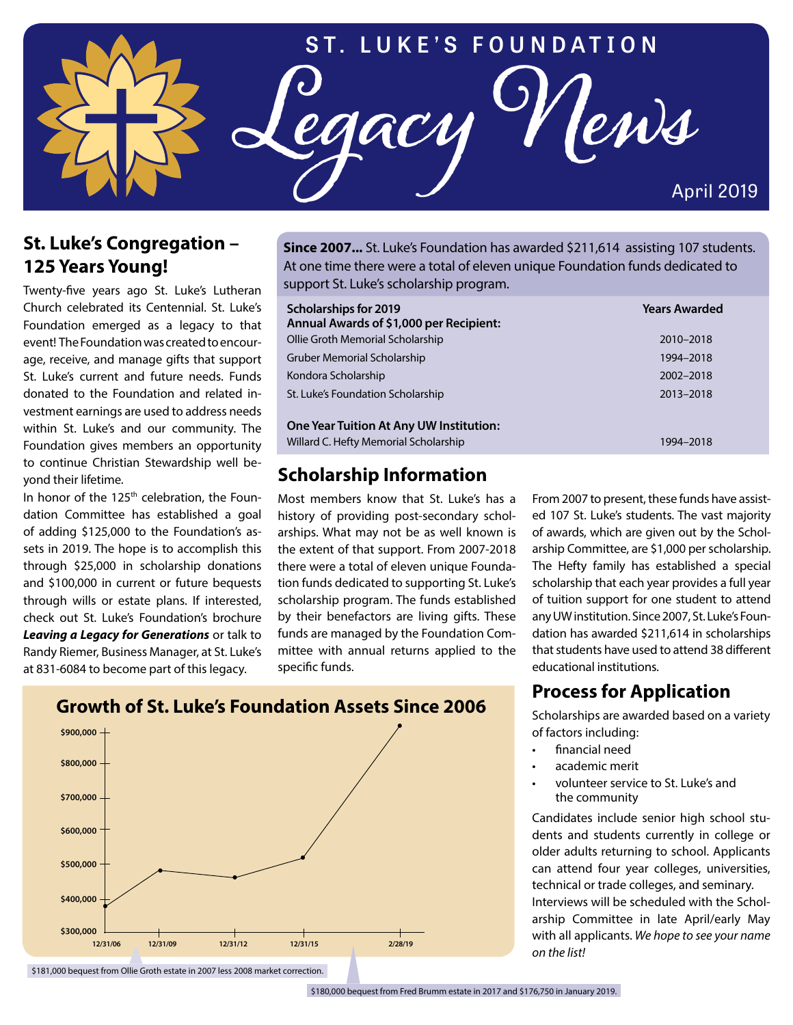# **ST. LUKE'S FOUNDATION**

**Legacy News**

#### **St. Luke's Congregation – 125 Years Young!**

Twenty-five years ago St. Luke's Lutheran Church celebrated its Centennial. St. Luke's Foundation emerged as a legacy to that event! The Foundation was created to encourage, receive, and manage gifts that support St. Luke's current and future needs. Funds donated to the Foundation and related investment earnings are used to address needs within St. Luke's and our community. The Foundation gives members an opportunity to continue Christian Stewardship well beyond their lifetime.

In honor of the 125<sup>th</sup> celebration, the Foundation Committee has established a goal of adding \$125,000 to the Foundation's assets in 2019. The hope is to accomplish this through \$25,000 in scholarship donations and \$100,000 in current or future bequests through wills or estate plans. If interested, check out St. Luke's Foundation's brochure *Leaving a Legacy for Generations* or talk to Randy Riemer, Business Manager, at St. Luke's at 831-6084 to become part of this legacy.

**Since 2007...** St. Luke's Foundation has awarded \$211,614 assisting 107 students. At one time there were a total of eleven unique Foundation funds dedicated to support St. Luke's scholarship program.

| <b>Scholarships for 2019</b><br>Annual Awards of \$1,000 per Recipient: | <b>Years Awarded</b> |
|-------------------------------------------------------------------------|----------------------|
| Ollie Groth Memorial Scholarship                                        | 2010-2018            |
| Gruber Memorial Scholarship                                             | 1994-2018            |
| Kondora Scholarship                                                     | 2002-2018            |
| St. Luke's Foundation Scholarship                                       | 2013-2018            |
| <b>One Year Tuition At Any UW Institution:</b>                          |                      |
| Willard C. Hefty Memorial Scholarship                                   | 1994–2018            |

#### **Scholarship Information**

Most members know that St. Luke's has a history of providing post-secondary scholarships. What may not be as well known is the extent of that support. From 2007-2018 there were a total of eleven unique Foundation funds dedicated to supporting St. Luke's scholarship program. The funds established by their benefactors are living gifts. These funds are managed by the Foundation Committee with annual returns applied to the specific funds.

From 2007 to present, these funds have assisted 107 St. Luke's students. The vast majority of awards, which are given out by the Scholarship Committee, are \$1,000 per scholarship. The Hefty family has established a special scholarship that each year provides a full year of tuition support for one student to attend any UW institution. Since 2007, St. Luke's Foundation has awarded \$211,614 in scholarships that students have used to attend 38 different educational institutions.

April 2019

# **Process for Application**

Scholarships are awarded based on a variety of factors including:

- financial need
- academic merit
- volunteer service to St. Luke's and the community

Candidates include senior high school students and students currently in college or older adults returning to school. Applicants can attend four year colleges, universities, technical or trade colleges, and seminary. Interviews will be scheduled with the Scholarship Committee in late April/early May with all applicants. *We hope to see your name on the list!*



\$181,000 bequest from Ollie Groth estate in 2007 less 2008 market correction.